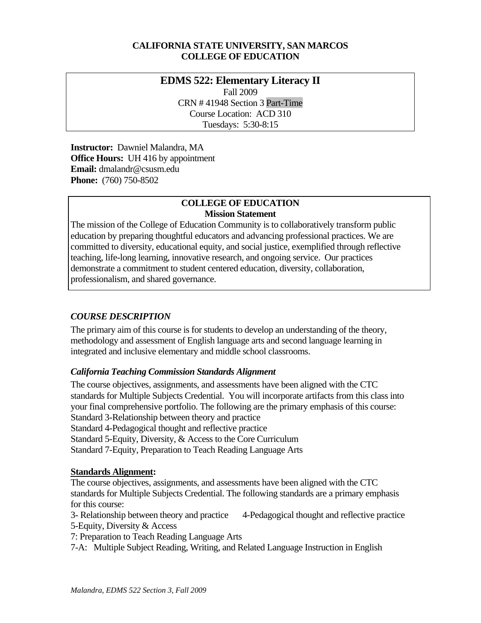### **CALIFORNIA STATE UNIVERSITY, SAN MARCOS COLLEGE OF EDUCATION**

### **EDMS 522: Elementary Literacy II**  Fall 2009 CRN # 41948 Section 3 Part-Time Course Location: ACD 310 Tuesdays: 5:30-8:15

 **Instructor:** Dawniel Malandra, MA **Office Hours:** UH 416 by appointment  **Email:** dmalandr@csusm.edu **Phone:** (760) 750-8502

### **COLLEGE OF EDUCATION Mission Statement**

The mission of the College of Education Community is to collaboratively transform public education by preparing thoughtful educators and advancing professional practices. We are committed to diversity, educational equity, and social justice, exemplified through reflective teaching, life-long learning, innovative research, and ongoing service. Our practices demonstrate a commitment to student centered education, diversity, collaboration, professionalism, and shared governance.

### *COURSE DESCRIPTION*

The primary aim of this course is for students to develop an understanding of the theory, methodology and assessment of English language arts and second language learning in integrated and inclusive elementary and middle school classrooms.

### *California Teaching Commission Standards Alignment*

The course objectives, assignments, and assessments have been aligned with the CTC standards for Multiple Subjects Credential. You will incorporate artifacts from this class into your final comprehensive portfolio. The following are the primary emphasis of this course: Standard 3-Relationship between theory and practice Standard 4-Pedagogical thought and reflective practice Standard 5-Equity, Diversity, & Access to the Core Curriculum Standard 7-Equity, Preparation to Teach Reading Language Arts

### **Standards Alignment:**

The course objectives, assignments, and assessments have been aligned with the CTC standards for Multiple Subjects Credential. The following standards are a primary emphasis for this course:

5-Equity, Diversity & Access 3- Relationship between theory and practice 4-Pedagogical thought and reflective practice

7: Preparation to Teach Reading Language Arts

7-A: Multiple Subject Reading, Writing, and Related Language Instruction in English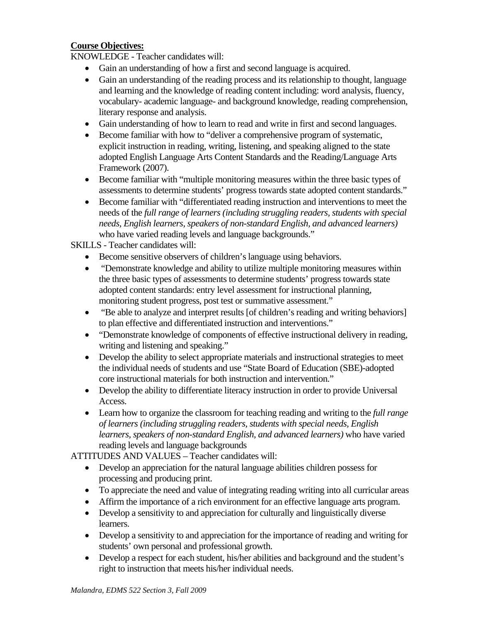### **Course Objectives:**

KNOWLEDGE - Teacher candidates will:

- Gain an understanding of how a first and second language is acquired.
- Gain an understanding of the reading process and its relationship to thought, language and learning and the knowledge of reading content including: word analysis, fluency, vocabulary- academic language- and background knowledge, reading comprehension, literary response and analysis.
- Gain understanding of how to learn to read and write in first and second languages.
- Become familiar with how to "deliver a comprehensive program of systematic, explicit instruction in reading, writing, listening, and speaking aligned to the state adopted English Language Arts Content Standards and the Reading/Language Arts Framework (2007).
- Become familiar with "multiple monitoring measures within the three basic types of assessments to determine students' progress towards state adopted content standards."
- Become familiar with "differentiated reading instruction and interventions to meet the needs of the *full range of learners (including struggling readers, students with special needs, English learners, speakers of non-standard English, and advanced learners)*  who have varied reading levels and language backgrounds."

SKILLS - Teacher candidates will:

- Become sensitive observers of children's language using behaviors.
- "Demonstrate knowledge and ability to utilize multiple monitoring measures within the three basic types of assessments to determine students' progress towards state adopted content standards: entry level assessment for instructional planning, monitoring student progress, post test or summative assessment."
- "Be able to analyze and interpret results [of children's reading and writing behaviors] to plan effective and differentiated instruction and interventions."
- "Demonstrate knowledge of components of effective instructional delivery in reading, writing and listening and speaking."
- Develop the ability to select appropriate materials and instructional strategies to meet the individual needs of students and use "State Board of Education (SBE)-adopted core instructional materials for both instruction and intervention."
- Develop the ability to differentiate literacy instruction in order to provide Universal Access.
- • Learn how to organize the classroom for teaching reading and writing to the *full range of learners (including struggling readers, students with special needs, English learners, speakers of non-standard English, and advanced learners)* who have varied reading levels and language backgrounds

ATTITUDES AND VALUES – Teacher candidates will:

- Develop an appreciation for the natural language abilities children possess for processing and producing print.
- To appreciate the need and value of integrating reading writing into all curricular areas
- Affirm the importance of a rich environment for an effective language arts program.
- Develop a sensitivity to and appreciation for culturally and linguistically diverse learners.
- Develop a sensitivity to and appreciation for the importance of reading and writing for students' own personal and professional growth.
- Develop a respect for each student, his/her abilities and background and the student's right to instruction that meets his/her individual needs.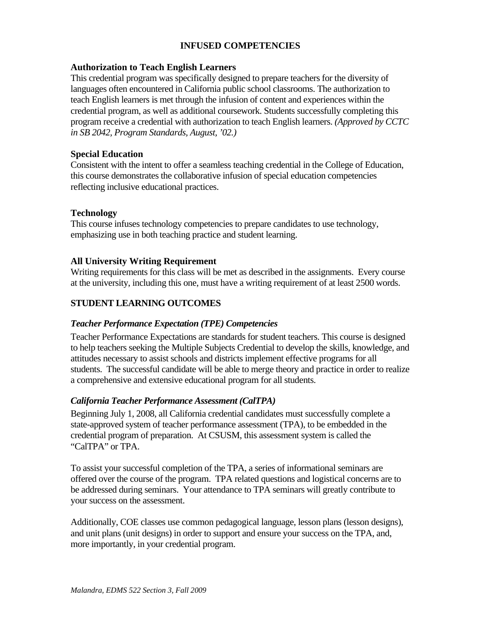### **INFUSED COMPETENCIES**

### **Authorization to Teach English Learners**

This credential program was specifically designed to prepare teachers for the diversity of languages often encountered in California public school classrooms. The authorization to teach English learners is met through the infusion of content and experiences within the credential program, as well as additional coursework. Students successfully completing this program receive a credential with authorization to teach English learners. *(Approved by CCTC in SB 2042, Program Standards, August, '02.)* 

#### **Special Education**

Consistent with the intent to offer a seamless teaching credential in the College of Education, this course demonstrates the collaborative infusion of special education competencies reflecting inclusive educational practices.

### **Technology**

This course infuses technology competencies to prepare candidates to use technology, emphasizing use in both teaching practice and student learning.

### **All University Writing Requirement**

Writing requirements for this class will be met as described in the assignments. Every course at the university, including this one, must have a writing requirement of at least 2500 words.

### **STUDENT LEARNING OUTCOMES**

#### *Teacher Performance Expectation (TPE) Competencies*

Teacher Performance Expectations are standards for student teachers. This course is designed to help teachers seeking the Multiple Subjects Credential to develop the skills, knowledge, and attitudes necessary to assist schools and districts implement effective programs for all students. The successful candidate will be able to merge theory and practice in order to realize a comprehensive and extensive educational program for all students.

### *California Teacher Performance Assessment (CalTPA)*

Beginning July 1, 2008, all California credential candidates must successfully complete a state-approved system of teacher performance assessment (TPA), to be embedded in the credential program of preparation. At CSUSM, this assessment system is called the "CalTPA" or TPA.

To assist your successful completion of the TPA, a series of informational seminars are offered over the course of the program. TPA related questions and logistical concerns are to be addressed during seminars. Your attendance to TPA seminars will greatly contribute to your success on the assessment.

Additionally, COE classes use common pedagogical language, lesson plans (lesson designs), and unit plans (unit designs) in order to support and ensure your success on the TPA, and, more importantly, in your credential program.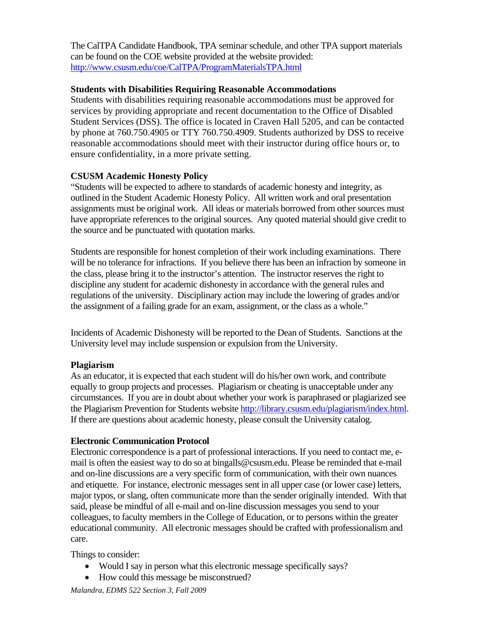The CalTPA Candidate Handbook, TPA seminar schedule, and other TPA support materials can be found on the COE website provided at the website provided: http://www.csusm.edu/coe/CalTPA/ProgramMaterialsTPA.html

### **Students with Disabilities Requiring Reasonable Accommodations**

Students with disabilities requiring reasonable accommodations must be approved for services by providing appropriate and recent documentation to the Office of Disabled Student Services (DSS). The office is located in Craven Hall 5205, and can be contacted by phone at 760.750.4905 or TTY 760.750.4909. Students authorized by DSS to receive reasonable accommodations should meet with their instructor during office hours or, to ensure confidentiality, in a more private setting.

### **CSUSM Academic Honesty Policy**

 have appropriate references to the original sources. Any quoted material should give credit to "Students will be expected to adhere to standards of academic honesty and integrity, as outlined in the Student Academic Honesty Policy. All written work and oral presentation assignments must be original work. All ideas or materials borrowed from other sources must the source and be punctuated with quotation marks.

Students are responsible for honest completion of their work including examinations. There will be no tolerance for infractions. If you believe there has been an infraction by someone in the class, please bring it to the instructor's attention. The instructor reserves the right to discipline any student for academic dishonesty in accordance with the general rules and regulations of the university. Disciplinary action may include the lowering of grades and/or the assignment of a failing grade for an exam, assignment, or the class as a whole."

Incidents of Academic Dishonesty will be reported to the Dean of Students. Sanctions at the University level may include suspension or expulsion from the University.

### **Plagiarism**

As an educator, it is expected that each student will do his/her own work, and contribute equally to group projects and processes. Plagiarism or cheating is unacceptable under any circumstances. If you are in doubt about whether your work is paraphrased or plagiarized see the Plagiarism Prevention for Students website http://library.csusm.edu/plagiarism/index.html. If there are questions about academic honesty, please consult the University catalog.

### **Electronic Communication Protocol**

Electronic correspondence is a part of professional interactions. If you need to contact me, email is often the easiest way to do so at bingalls@csusm.edu. Please be reminded that e-mail and on-line discussions are a very specific form of communication, with their own nuances and etiquette. For instance, electronic messages sent in all upper case (or lower case) letters, major typos, or slang, often communicate more than the sender originally intended. With that said, please be mindful of all e-mail and on-line discussion messages you send to your colleagues, to faculty members in the College of Education, or to persons within the greater educational community. All electronic messages should be crafted with professionalism and care.

Things to consider:

- Would I say in person what this electronic message specifically says?
- How could this message be misconstrued?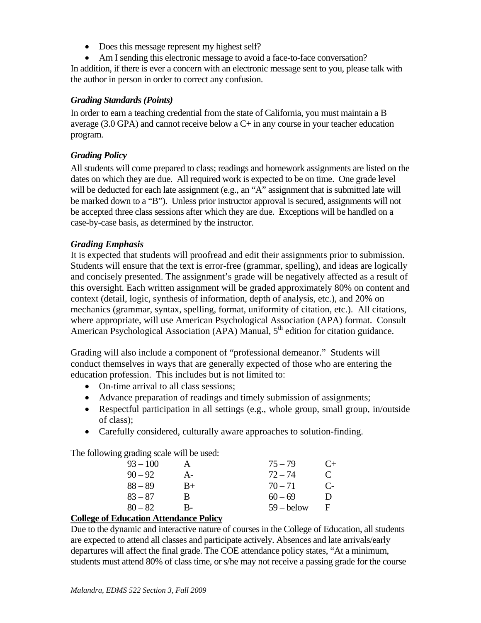- • Does this message represent my highest self?
- Am I sending this electronic message to avoid a face-to-face conversation?

In addition, if there is ever a concern with an electronic message sent to you, please talk with the author in person in order to correct any confusion.

### *Grading Standards (Points)*

In order to earn a teaching credential from the state of California, you must maintain a B average  $(3.0 \text{ GPA})$  and cannot receive below a  $C<sub>+</sub>$  in any course in your teacher education program.

### *Grading Policy*

All students will come prepared to class; readings and homework assignments are listed on the dates on which they are due. All required work is expected to be on time. One grade level will be deducted for each late assignment (e.g., an "A" assignment that is submitted late will be marked down to a "B"). Unless prior instructor approval is secured, assignments will not be accepted three class sessions after which they are due. Exceptions will be handled on a case-by-case basis, as determined by the instructor.

### *Grading Emphasis*

It is expected that students will proofread and edit their assignments prior to submission. Students will ensure that the text is error-free (grammar, spelling), and ideas are logically and concisely presented. The assignment's grade will be negatively affected as a result of this oversight. Each written assignment will be graded approximately 80% on content and context (detail, logic, synthesis of information, depth of analysis, etc.), and 20% on mechanics (grammar, syntax, spelling, format, uniformity of citation, etc.). All citations, where appropriate, will use American Psychological Association (APA) format. Consult American Psychological Association (APA) Manual,  $5<sup>th</sup>$  edition for citation guidance.

Grading will also include a component of "professional demeanor." Students will conduct themselves in ways that are generally expected of those who are entering the education profession. This includes but is not limited to:

- On-time arrival to all class sessions;
- Advance preparation of readings and timely submission of assignments;
- Respectful participation in all settings (e.g., whole group, small group, in/outside of class);
- Carefully considered, culturally aware approaches to solution-finding.

The following grading scale will be used:

| $93 - 100$ | А    | $75 - 79$    | $C_{\pm}$    |
|------------|------|--------------|--------------|
| $90 - 92$  | A-   | $72 - 74$    | $\mathbf{C}$ |
| $88 - 89$  | $B+$ | $70 - 71$    | $\mathbf{C}$ |
| $83 - 87$  | R    | $60 - 69$    | Ð            |
| $80 - 82$  | B-   | $59 -$ below | F            |
|            |      |              |              |

#### **College of Education Attendance Policy**

Due to the dynamic and interactive nature of courses in the College of Education, all students are expected to attend all classes and participate actively. Absences and late arrivals/early departures will affect the final grade. The COE attendance policy states, "At a minimum, students must attend 80% of class time, or s/he may not receive a passing grade for the course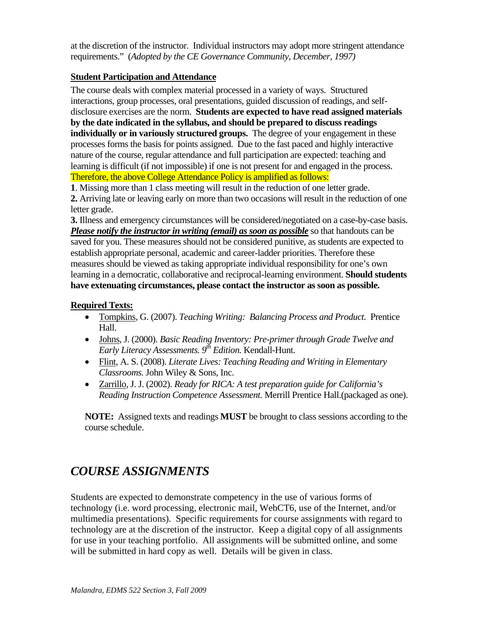at the discretion of the instructor. Individual instructors may adopt more stringent attendance requirements." (*Adopted by the CE Governance Community, December, 1997)* 

### **Student Participation and Attendance**

 disclosure exercises are the norm. **Students are expected to have read assigned materials**  The course deals with complex material processed in a variety of ways. Structured interactions, group processes, oral presentations, guided discussion of readings, and self**by the date indicated in the syllabus, and should be prepared to discuss readings individually or in variously structured groups.** The degree of your engagement in these processes forms the basis for points assigned. Due to the fast paced and highly interactive nature of the course, regular attendance and full participation are expected: teaching and learning is difficult (if not impossible) if one is not present for and engaged in the process. Therefore, the above College Attendance Policy is amplified as follows:

**1**. Missing more than 1 class meeting will result in the reduction of one letter grade.

**2.** Arriving late or leaving early on more than two occasions will result in the reduction of one letter grade.

 **3.** Illness and emergency circumstances will be considered/negotiated on a case-by-case basis. *Please notify the instructor in writing (email) as soon as possible* so that handouts can be saved for you. These measures should not be considered punitive, as students are expected to establish appropriate personal, academic and career-ladder priorities. Therefore these measures should be viewed as taking appropriate individual responsibility for one's own learning in a democratic, collaborative and reciprocal-learning environment. **Should students have extenuating circumstances, please contact the instructor as soon as possible.** 

#### **Required Texts:**

- • Tompkins, G. (2007). *Teaching Writing: Balancing Process and Product.* Prentice Hall.
- • Johns, J. (2000). *Basic Reading Inventory: Pre-primer through Grade Twelve and Early Literacy Assessments.*  $9<sup>th</sup> Edition$ . Kendall-Hunt.
- • Flint, A. S. (2008). *Literate Lives: Teaching Reading and Writing in Elementary Classrooms.* John Wiley & Sons, Inc.
- • Zarrillo, J. J. (2002). *Ready for RICA: A test preparation guide for California's Reading Instruction Competence Assessment.* Merrill Prentice Hall.(packaged as one).

**NOTE:** Assigned texts and readings **MUST** be brought to class sessions according to the course schedule.

## *COURSE ASSIGNMENTS*

Students are expected to demonstrate competency in the use of various forms of technology (i.e. word processing, electronic mail, WebCT6, use of the Internet, and/or multimedia presentations). Specific requirements for course assignments with regard to technology are at the discretion of the instructor. Keep a digital copy of all assignments for use in your teaching portfolio. All assignments will be submitted online, and some will be submitted in hard copy as well. Details will be given in class.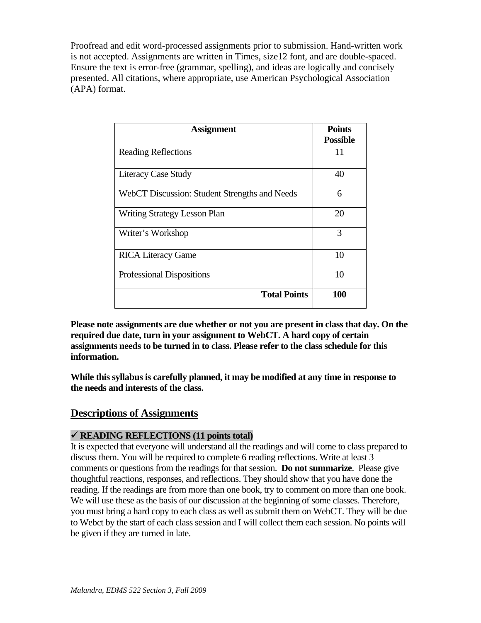Proofread and edit word-processed assignments prior to submission. Hand-written work is not accepted. Assignments are written in Times, size12 font, and are double-spaced. Ensure the text is error-free (grammar, spelling), and ideas are logically and concisely presented. All citations, where appropriate, use American Psychological Association (APA) format.

| <b>Assignment</b>                             | <b>Points</b><br><b>Possible</b> |
|-----------------------------------------------|----------------------------------|
| <b>Reading Reflections</b>                    | 11                               |
| <b>Literacy Case Study</b>                    | 40                               |
| WebCT Discussion: Student Strengths and Needs | 6                                |
| <b>Writing Strategy Lesson Plan</b>           | 20                               |
| Writer's Workshop                             | 3                                |
| <b>RICA Literacy Game</b>                     | 10                               |
| <b>Professional Dispositions</b>              | 10                               |
| <b>Total Points</b>                           | 100                              |

information. **Please note assignments are due whether or not you are present in class that day. On the required due date, turn in your assignment to WebCT. A hard copy of certain assignments needs to be turned in to class. Please refer to the class schedule for this** 

**information. While this syllabus is carefully planned, it may be modified at any time in response to the needs and interests of the class.** 

### **Descriptions of Assignments**

#### 9 **READING REFLECTIONS (11 points total)**

It is expected that everyone will understand all the readings and will come to class prepared to discuss them. You will be required to complete 6 reading reflections. Write at least 3 comments or questions from the readings for that session. **Do not summarize**. Please give thoughtful reactions, responses, and reflections. They should show that you have done the reading. If the readings are from more than one book, try to comment on more than one book. We will use these as the basis of our discussion at the beginning of some classes. Therefore, you must bring a hard copy to each class as well as submit them on WebCT. They will be due to Webct by the start of each class session and I will collect them each session. No points will be given if they are turned in late.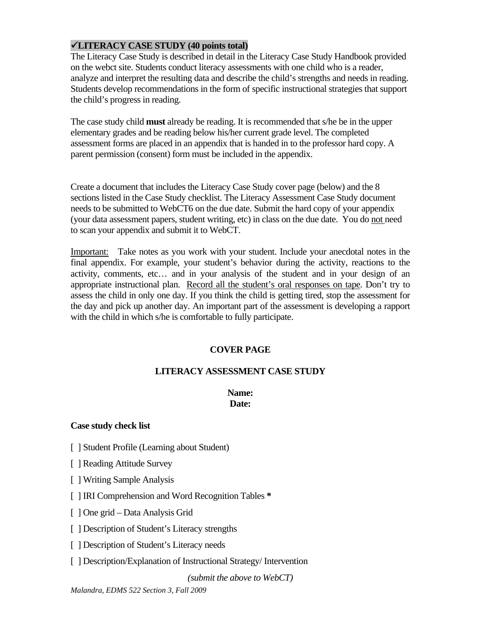### 9**LITERACY CASE STUDY (40 points total)**

The Literacy Case Study is described in detail in the Literacy Case Study Handbook provided on the webct site. Students conduct literacy assessments with one child who is a reader, analyze and interpret the resulting data and describe the child's strengths and needs in reading. Students develop recommendations in the form of specific instructional strategies that support the child's progress in reading.

The case study child **must** already be reading. It is recommended that s/he be in the upper elementary grades and be reading below his/her current grade level. The completed assessment forms are placed in an appendix that is handed in to the professor hard copy. A parent permission (consent) form must be included in the appendix.

Create a document that includes the Literacy Case Study cover page (below) and the 8 sections listed in the Case Study checklist. The Literacy Assessment Case Study document needs to be submitted to WebCT6 on the due date. Submit the hard copy of your appendix (your data assessment papers, student writing, etc) in class on the due date. You do not need to scan your appendix and submit it to WebCT.

Important: Take notes as you work with your student. Include your anecdotal notes in the final appendix. For example, your student's behavior during the activity, reactions to the activity, comments, etc… and in your analysis of the student and in your design of an appropriate instructional plan. Record all the student's oral responses on tape. Don't try to assess the child in only one day. If you think the child is getting tired, stop the assessment for the day and pick up another day. An important part of the assessment is developing a rapport with the child in which s/he is comfortable to fully participate.

### **COVER PAGE**

### **LITERACY ASSESSMENT CASE STUDY**

### **Name: Date:**

### **Case study check list**

- [ ] Student Profile (Learning about Student)
- [ ] Reading Attitude Survey
- [ ] Writing Sample Analysis
- [ ] IRI Comprehension and Word Recognition Tables **\***
- [ ] One grid Data Analysis Grid
- [ ] Description of Student's Literacy strengths
- [ ] Description of Student's Literacy needs
- [ ] Description/Explanation of Instructional Strategy/ Intervention

*(submit the above to WebCT)*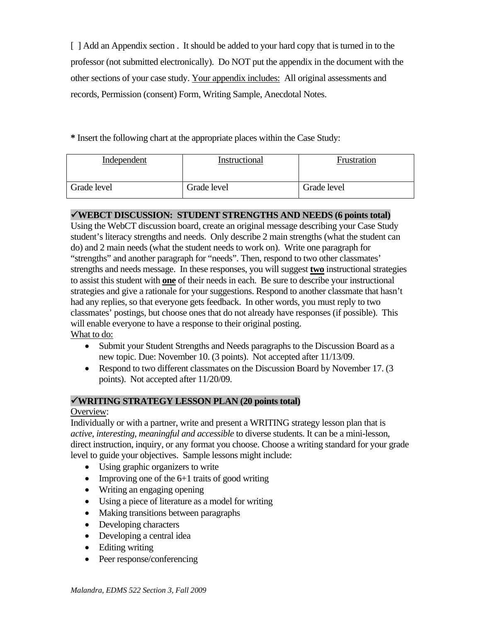[ ] Add an Appendix section . It should be added to your hard copy that is turned in to the professor (not submitted electronically). Do NOT put the appendix in the document with the other sections of your case study. Your appendix includes: All original assessments and records, Permission (consent) Form, Writing Sample, Anecdotal Notes.

**\*** Insert the following chart at the appropriate places within the Case Study:

| Independent | Instructional | Frustration |
|-------------|---------------|-------------|
| Grade level | Grade level   | Grade level |

#### 9**WEBCT DISCUSSION: STUDENT STRENGTHS AND NEEDS (6 points total)**

Using the WebCT discussion board, create an original message describing your Case Study student's literacy strengths and needs. Only describe 2 main strengths (what the student can do) and 2 main needs (what the student needs to work on). Write one paragraph for "strengths" and another paragraph for "needs". Then, respond to two other classmates' strengths and needs message. In these responses, you will suggest **two** instructional strategies to assist this student with **one** of their needs in each. Be sure to describe your instructional strategies and give a rationale for your suggestions. Respond to another classmate that hasn't had any replies, so that everyone gets feedback. In other words, you must reply to two classmates' postings, but choose ones that do not already have responses (if possible). This will enable everyone to have a response to their original posting. What to do:

- Submit your Student Strengths and Needs paragraphs to the Discussion Board as a new topic. Due: November 10. (3 points). Not accepted after 11/13/09.
- Respond to two different classmates on the Discussion Board by November 17. (3) points). Not accepted after 11/20/09.

### 9**WRITING STRATEGY LESSON PLAN (20 points total)**

#### Overview:

Individually or with a partner, write and present a WRITING strategy lesson plan that is *active, interesting, meaningful and accessible* to diverse students. It can be a mini-lesson, direct instruction, inquiry, or any format you choose. Choose a writing standard for your grade level to guide your objectives. Sample lessons might include:

- Using graphic organizers to write
- Improving one of the  $6+1$  traits of good writing
- Writing an engaging opening
- Using a piece of literature as a model for writing
- Making transitions between paragraphs
- Developing characters
- Developing a central idea
- Editing writing
- Peer response/conferencing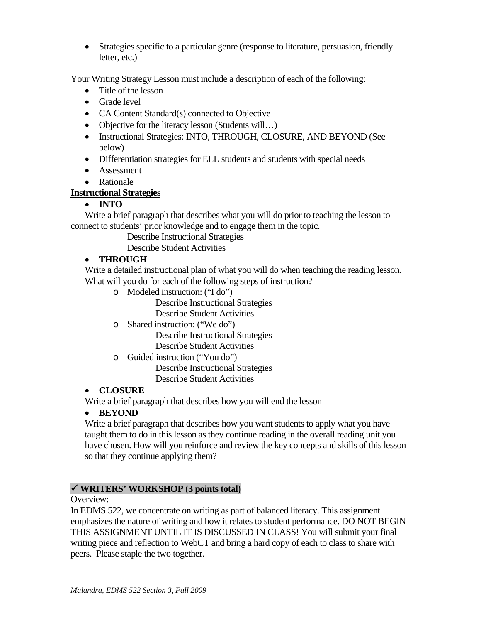• Strategies specific to a particular genre (response to literature, persuasion, friendly letter, etc.)

Your Writing Strategy Lesson must include a description of each of the following:

- Title of the lesson
- Grade level
- CA Content Standard(s) connected to Objective
- Objective for the literacy lesson (Students will...)
- Instructional Strategies: INTO, THROUGH, CLOSURE, AND BEYOND (See below)
- Differentiation strategies for ELL students and students with special needs
- Assessment
- Rationale

### **Instructional Strategies**

### • **INTO**

Write a brief paragraph that describes what you will do prior to teaching the lesson to connect to students' prior knowledge and to engage them in the topic.

Describe Instructional Strategies

Describe Student Activities

### • **THROUGH**

Write a detailed instructional plan of what you will do when teaching the reading lesson. What will you do for each of the following steps of instruction?

o Modeled instruction: ("I do")

Describe Instructional Strategies

Describe Student Activities

o Shared instruction: ("We do")

Describe Instructional Strategies Describe Student Activities

o Guided instruction ("You do")

Describe Instructional Strategies Describe Student Activities

### • **CLOSURE**

Write a brief paragraph that describes how you will end the lesson

### • **BEYOND**

Write a brief paragraph that describes how you want students to apply what you have taught them to do in this lesson as they continue reading in the overall reading unit you have chosen. How will you reinforce and review the key concepts and skills of this lesson so that they continue applying them?

### 9 **WRITERS' WORKSHOP (3 points total)**

Overview:

peers. Please staple the two together. In EDMS 522, we concentrate on writing as part of balanced literacy. This assignment emphasizes the nature of writing and how it relates to student performance. DO NOT BEGIN THIS ASSIGNMENT UNTIL IT IS DISCUSSED IN CLASS! You will submit your final writing piece and reflection to WebCT and bring a hard copy of each to class to share with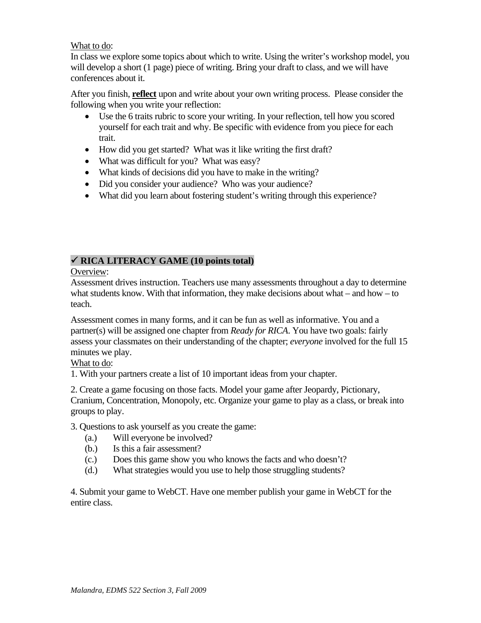### What to do:

In class we explore some topics about which to write. Using the writer's workshop model, you will develop a short (1 page) piece of writing. Bring your draft to class, and we will have conferences about it.

After you finish, **reflect** upon and write about your own writing process. Please consider the following when you write your reflection:

- Use the 6 traits rubric to score your writing. In your reflection, tell how you scored yourself for each trait and why. Be specific with evidence from you piece for each trait.
- How did you get started? What was it like writing the first draft?
- What was difficult for you? What was easy?
- What kinds of decisions did you have to make in the writing?
- Did you consider your audience? Who was your audience?
- What did you learn about fostering student's writing through this experience?

### 9 **RICA LITERACY GAME (10 points total)**

Overview:

Assessment drives instruction. Teachers use many assessments throughout a day to determine what students know. With that information, they make decisions about what – and how – to teach.

Assessment comes in many forms, and it can be fun as well as informative. You and a partner(s) will be assigned one chapter from *Ready for RICA*. You have two goals: fairly assess your classmates on their understanding of the chapter; *everyone* involved for the full 15 minutes we play.

#### What to do:

1. With your partners create a list of 10 important ideas from your chapter.

2. Create a game focusing on those facts. Model your game after Jeopardy, Pictionary, Cranium, Concentration, Monopoly, etc. Organize your game to play as a class, or break into groups to play.

3. Questions to ask yourself as you create the game:

- (a.) Will everyone be involved?
- Is this a fair assessment?
- (b.) Is this a fair assessment? (c.) Does this game show you who knows the facts and who doesn't?
- (d.) What strategies would you use to help those struggling students?

4. Submit your game to WebCT. Have one member publish your game in WebCT for the entire class.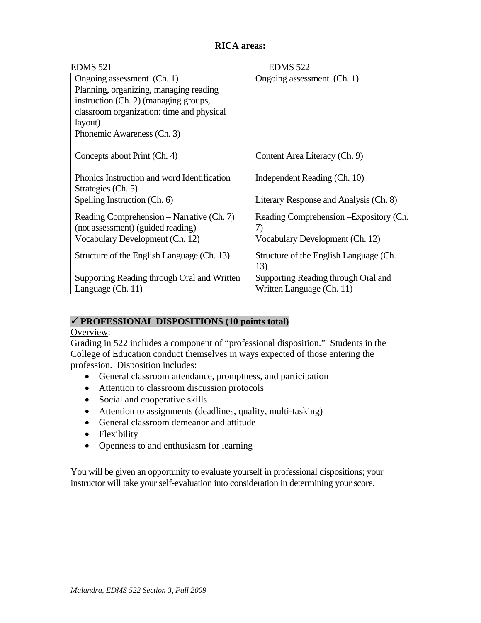### **RICA areas:**

| <b>EDMS 521</b>                             | <b>EDMS 522</b>                         |
|---------------------------------------------|-----------------------------------------|
| Ongoing assessment (Ch. 1)                  | Ongoing assessment (Ch. 1)              |
| Planning, organizing, managing reading      |                                         |
| instruction (Ch. 2) (managing groups,       |                                         |
| classroom organization: time and physical   |                                         |
| layout)                                     |                                         |
| Phonemic Awareness (Ch. 3)                  |                                         |
|                                             |                                         |
| Concepts about Print (Ch. 4)                | Content Area Literacy (Ch. 9)           |
|                                             |                                         |
| Phonics Instruction and word Identification | Independent Reading (Ch. 10)            |
| Strategies (Ch. 5)                          |                                         |
| Spelling Instruction (Ch. 6)                | Literary Response and Analysis (Ch. 8)  |
| Reading Comprehension - Narrative (Ch. 7)   | Reading Comprehension - Expository (Ch. |
| (not assessment) (guided reading)           | 7)                                      |
| Vocabulary Development (Ch. 12)             | Vocabulary Development (Ch. 12)         |
|                                             |                                         |
| Structure of the English Language (Ch. 13)  | Structure of the English Language (Ch.  |
|                                             | 13)                                     |
| Supporting Reading through Oral and Written | Supporting Reading through Oral and     |
| Language (Ch. 11)                           | Written Language (Ch. 11)               |

### 9 **PROFESSIONAL DISPOSITIONS (10 points total)**

Overview:

Grading in 522 includes a component of "professional disposition." Students in the College of Education conduct themselves in ways expected of those entering the profession. Disposition includes:

- General classroom attendance, promptness, and participation
- Attention to classroom discussion protocols
- Social and cooperative skills
- Attention to assignments (deadlines, quality, multi-tasking)
- General classroom demeanor and attitude
- Flexibility
- Openness to and enthusiasm for learning

You will be given an opportunity to evaluate yourself in professional dispositions; your instructor will take your self-evaluation into consideration in determining your score.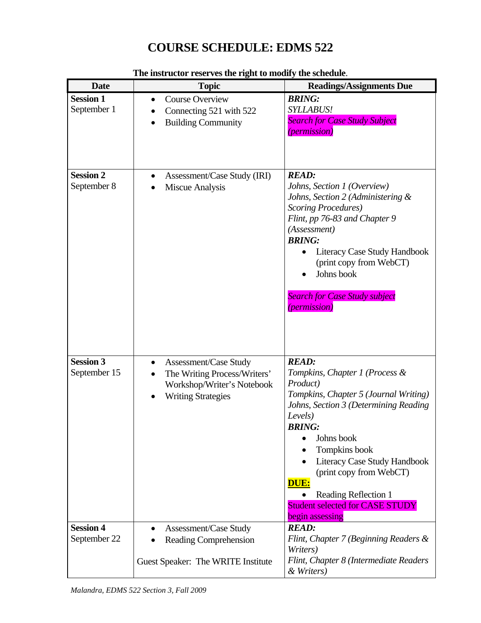# **COURSE SCHEDULE: EDMS 522**

| <b>Date</b>                      | <b>Topic</b>                                                                                                                         | <b>Readings/Assignments Due</b>                                                                                                                                                                                                                                                                                                                                        |
|----------------------------------|--------------------------------------------------------------------------------------------------------------------------------------|------------------------------------------------------------------------------------------------------------------------------------------------------------------------------------------------------------------------------------------------------------------------------------------------------------------------------------------------------------------------|
| <b>Session 1</b><br>September 1  | <b>Course Overview</b><br>$\bullet$<br>Connecting 521 with 522<br><b>Building Community</b>                                          | <b>BRING:</b><br><b>SYLLABUS!</b><br><b>Search for Case Study Subject</b><br><i>(permission)</i>                                                                                                                                                                                                                                                                       |
| <b>Session 2</b><br>September 8  | Assessment/Case Study (IRI)<br>Miscue Analysis                                                                                       | <b>READ:</b><br>Johns, Section 1 (Overview)<br>Johns, Section 2 (Administering &<br><b>Scoring Procedures</b> )<br>Flint, pp 76-83 and Chapter 9<br>(Assessment)<br><b>BRING:</b><br>Literacy Case Study Handbook<br>(print copy from WebCT)<br>Johns book<br><b>Search for Case Study subject</b><br><i>(permission)</i>                                              |
| <b>Session 3</b><br>September 15 | <b>Assessment/Case Study</b><br>$\bullet$<br>The Writing Process/Writers'<br>Workshop/Writer's Notebook<br><b>Writing Strategies</b> | <b>READ:</b><br>Tompkins, Chapter 1 (Process &<br>Product)<br>Tompkins, Chapter 5 (Journal Writing)<br>Johns, Section 3 (Determining Reading<br>Levels)<br><b>BRING:</b><br>Johns book<br>Tompkins book<br>Literacy Case Study Handbook<br>(print copy from WebCT)<br><b>DUE:</b><br>Reading Reflection 1<br><b>Student selected for CASE STUDY</b><br>begin assessing |
| <b>Session 4</b><br>September 22 | <b>Assessment/Case Study</b><br><b>Reading Comprehension</b>                                                                         | <b>READ:</b><br>Flint, Chapter 7 (Beginning Readers &<br>Writers)                                                                                                                                                                                                                                                                                                      |
|                                  | Guest Speaker: The WRITE Institute                                                                                                   | Flint, Chapter 8 (Intermediate Readers<br>& Writers)                                                                                                                                                                                                                                                                                                                   |

#### **The instructor reserves the right to modify the schedule**.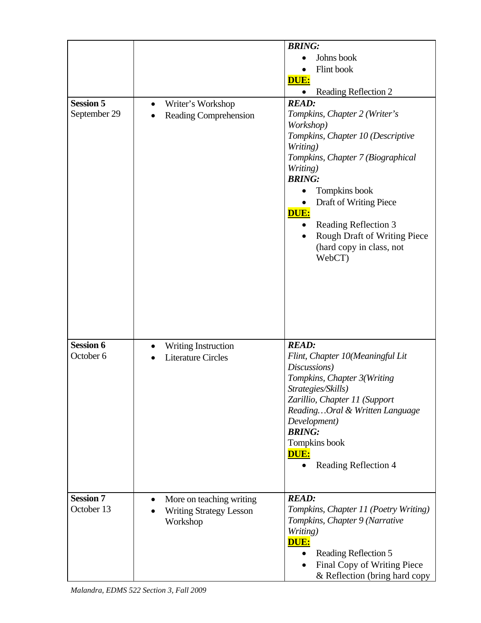| <b>Session 5</b><br>September 29 | Writer's Workshop<br>$\bullet$<br>Reading Comprehension                             | <b>BRING:</b><br>Johns book<br>Flint book<br>DUE:<br>Reading Reflection 2<br><b>READ:</b><br>Tompkins, Chapter 2 (Writer's<br>Workshop)<br>Tompkins, Chapter 10 (Descriptive<br>Writing)<br>Tompkins, Chapter 7 (Biographical<br>Writing)<br><b>BRING:</b><br>Tompkins book<br>Draft of Writing Piece |
|----------------------------------|-------------------------------------------------------------------------------------|-------------------------------------------------------------------------------------------------------------------------------------------------------------------------------------------------------------------------------------------------------------------------------------------------------|
|                                  |                                                                                     | <b>DUE:</b><br>Reading Reflection 3<br>Rough Draft of Writing Piece<br>(hard copy in class, not<br>WebCT)                                                                                                                                                                                             |
| <b>Session 6</b><br>October 6    | Writing Instruction<br><b>Literature Circles</b>                                    | <b>READ:</b><br>Flint, Chapter 10(Meaningful Lit<br>Discussions)<br>Tompkins, Chapter 3(Writing<br>Strategies/Skills)<br>Zarillio, Chapter 11 (Support<br>ReadingOral & Written Language<br>Development)<br><b>BRING:</b><br>Tompkins book<br>DUE:<br>Reading Reflection 4                            |
| <b>Session 7</b><br>October 13   | More on teaching writing<br>$\bullet$<br><b>Writing Strategy Lesson</b><br>Workshop | <b>READ:</b><br>Tompkins, Chapter 11 (Poetry Writing)<br>Tompkins, Chapter 9 (Narrative<br>Writing)<br>DUE:<br>Reading Reflection 5<br>Final Copy of Writing Piece<br>& Reflection (bring hard copy                                                                                                   |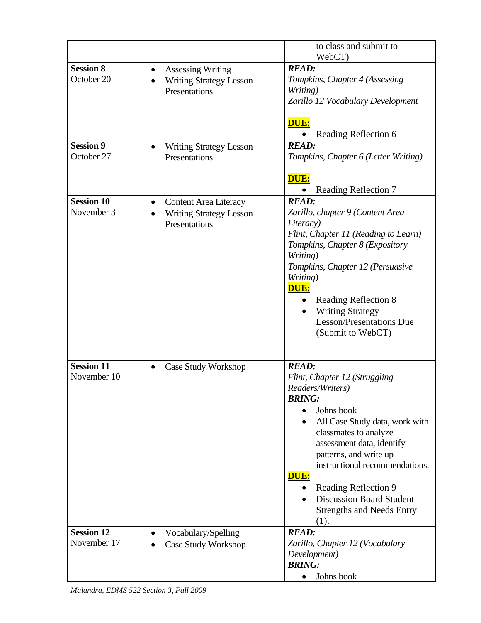|                                  |                                                                                          | to class and submit to<br>WebCT)                                                                                                                                                                                                                                                                                                                                    |
|----------------------------------|------------------------------------------------------------------------------------------|---------------------------------------------------------------------------------------------------------------------------------------------------------------------------------------------------------------------------------------------------------------------------------------------------------------------------------------------------------------------|
| <b>Session 8</b><br>October 20   | <b>Assessing Writing</b><br>$\bullet$<br><b>Writing Strategy Lesson</b><br>Presentations | <b>READ:</b><br>Tompkins, Chapter 4 (Assessing<br>Writing)<br>Zarillo 12 Vocabulary Development                                                                                                                                                                                                                                                                     |
| <b>Session 9</b><br>October 27   | <b>Writing Strategy Lesson</b><br>$\bullet$<br>Presentations                             | DUE:<br>Reading Reflection 6<br><b>READ:</b><br>Tompkins, Chapter 6 (Letter Writing)                                                                                                                                                                                                                                                                                |
|                                  |                                                                                          | DUE:<br>Reading Reflection 7                                                                                                                                                                                                                                                                                                                                        |
| <b>Session 10</b><br>November 3  | <b>Content Area Literacy</b><br>٠<br><b>Writing Strategy Lesson</b><br>Presentations     | <b>READ:</b><br>Zarillo, chapter 9 (Content Area<br>Literacy)<br>Flint, Chapter 11 (Reading to Learn)<br>Tompkins, Chapter 8 (Expository<br>Writing)<br>Tompkins, Chapter 12 (Persuasive<br>Writing)<br>DUE:<br>Reading Reflection 8<br><b>Writing Strategy</b><br><b>Lesson/Presentations Due</b><br>(Submit to WebCT)                                             |
| <b>Session 11</b><br>November 10 | Case Study Workshop<br>$\bullet$                                                         | <b>READ:</b><br>Flint, Chapter 12 (Struggling<br>Readers/Writers)<br><b>BRING:</b><br>Johns book<br>All Case Study data, work with<br>classmates to analyze<br>assessment data, identify<br>patterns, and write up<br>instructional recommendations.<br>DUE:<br>Reading Reflection 9<br><b>Discussion Board Student</b><br><b>Strengths and Needs Entry</b><br>(1). |
| <b>Session 12</b><br>November 17 | Vocabulary/Spelling<br>Case Study Workshop                                               | <b>READ:</b><br>Zarillo, Chapter 12 (Vocabulary<br>Development)<br><b>BRING:</b><br>Johns book                                                                                                                                                                                                                                                                      |